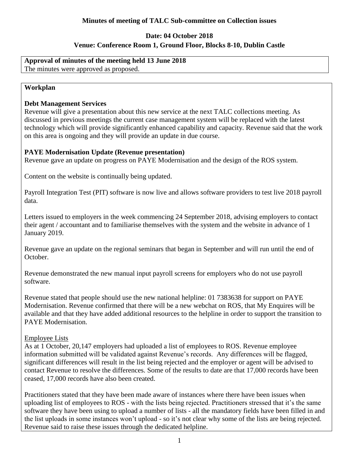# **Date: 04 October 2018 Venue: Conference Room 1, Ground Floor, Blocks 8-10, Dublin Castle**

# **Approval of minutes of the meeting held 13 June 2018**

The minutes were approved as proposed.

### **Workplan**

### **Debt Management Services**

Revenue will give a presentation about this new service at the next TALC collections meeting. As discussed in previous meetings the current case management system will be replaced with the latest technology which will provide significantly enhanced capability and capacity. Revenue said that the work on this area is ongoing and they will provide an update in due course.

## **PAYE Modernisation Update (Revenue presentation)**

Revenue gave an update on progress on PAYE Modernisation and the design of the ROS system.

Content on the website is continually being updated.

Payroll Integration Test (PIT) software is now live and allows software providers to test live 2018 payroll data.

Letters issued to employers in the week commencing 24 September 2018, advising employers to contact their agent / accountant and to familiarise themselves with the system and the website in advance of 1 January 2019.

Revenue gave an update on the regional seminars that began in September and will run until the end of October.

Revenue demonstrated the new manual input payroll screens for employers who do not use payroll software.

Revenue stated that people should use the new national helpline: 01 7383638 for support on PAYE Modernisation. Revenue confirmed that there will be a new webchat on ROS, that My Enquires will be available and that they have added additional resources to the helpline in order to support the transition to PAYE Modernisation.

### Employee Lists

As at 1 October, 20,147 employers had uploaded a list of employees to ROS. Revenue employee information submitted will be validated against Revenue's records. Any differences will be flagged, significant differences will result in the list being rejected and the employer or agent will be advised to contact Revenue to resolve the differences. Some of the results to date are that 17,000 records have been ceased, 17,000 records have also been created.

Practitioners stated that they have been made aware of instances where there have been issues when uploading list of employees to ROS - with the lists being rejected. Practitioners stressed that it's the same software they have been using to upload a number of lists - all the mandatory fields have been filled in and the list uploads in some instances won't upload - so it's not clear why some of the lists are being rejected. Revenue said to raise these issues through the dedicated helpline.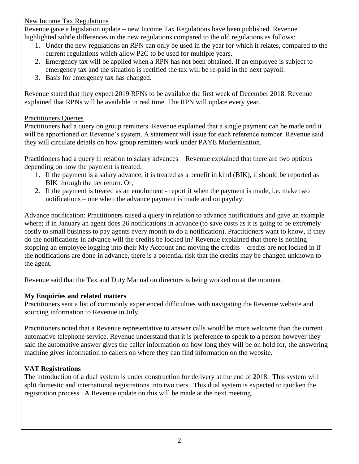#### New Income Tax Regulations

Revenue gave a legislation update – new Income Tax Regulations have been published. Revenue highlighted subtle differences in the new regulations compared to the old regulations as follows:

- 1. Under the new regulations an RPN can only be used in the year for which it relates, compared to the current regulations which allow P2C to be used for multiple years.
- 2. Emergency tax will be applied when a RPN has not been obtained. If an employee is subject to emergency tax and the situation is rectified the tax will be re-paid in the next payroll.
- 3. Basis for emergency tax has changed.

Revenue stated that they expect 2019 RPNs to be available the first week of December 2018. Revenue explained that RPNs will be available in real time. The RPN will update every year.

### Practitioners Queries

Practitioners had a query on group remitters. Revenue explained that a single payment can be made and it will be apportioned on Revenue's system. A statement will issue for each reference number. Revenue said they will circulate details on how group remitters work under PAYE Modernisation.

Practitioners had a query in relation to salary advances – Revenue explained that there are two options depending on how the payment is treated:

- 1. If the payment is a salary advance, it is treated as a benefit in kind (BIK), it should be reported as BIK through the tax return. Or,
- 2. If the payment is treated as an emolument report it when the payment is made, i.e. make two notifications – one when the advance payment is made and on payday.

Advance notification: Practitioners raised a query in relation to advance notifications and gave an example where; if in January an agent does 26 notifications in advance (to save costs as it is going to be extremely costly to small business to pay agents every month to do a notification). Practitioners want to know, if they do the notifications in advance will the credits be locked in? Revenue explained that there is nothing stopping an employee logging into their My Account and moving the credits – credits are not locked in if the notifications are done in advance, there is a potential risk that the credits may be changed unknown to the agent.

Revenue said that the Tax and Duty Manual on directors is being worked on at the moment.

## **My Enquiries and related matters**

Practitioners sent a list of commonly experienced difficulties with navigating the Revenue website and sourcing information to Revenue in July.

Practitioners noted that a Revenue representative to answer calls would be more welcome than the current automative telephone service. Revenue understand that it is preference to speak to a person however they said the automative answer gives the caller information on how long they will be on hold for, the answering machine gives information to callers on where they can find information on the website.

## **VAT Registrations**

The introduction of a dual system is under construction for delivery at the end of 2018. This system will split domestic and international registrations into two tiers. This dual system is expected to quicken the registration process. A Revenue update on this will be made at the next meeting.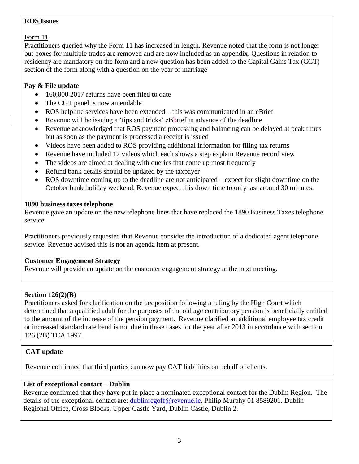#### **ROS Issues**

Form 11

Practitioners queried why the Form 11 has increased in length. Revenue noted that the form is not longer but boxes for multiple trades are removed and are now included as an appendix. Questions in relation to residency are mandatory on the form and a new question has been added to the Capital Gains Tax (CGT) section of the form along with a question on the year of marriage

## **Pay & File update**

- 160,000 2017 returns have been filed to date
- The CGT panel is now amendable
- ROS helpline services have been extended this was communicated in an eBrief
- Revenue will be issuing a 'tips and tricks' eBbrief in advance of the deadline
- Revenue acknowledged that ROS payment processing and balancing can be delayed at peak times but as soon as the payment is processed a receipt is issued
- Videos have been added to ROS providing additional information for filing tax returns
- Revenue have included 12 videos which each shows a step explain Revenue record view
- The videos are aimed at dealing with queries that come up most frequently
- Refund bank details should be updated by the taxpayer
- ROS downtime coming up to the deadline are not anticipated expect for slight downtime on the October bank holiday weekend, Revenue expect this down time to only last around 30 minutes.

### **1890 business taxes telephone**

Revenue gave an update on the new telephone lines that have replaced the 1890 Business Taxes telephone service.

Practitioners previously requested that Revenue consider the introduction of a dedicated agent telephone service. Revenue advised this is not an agenda item at present.

## **Customer Engagement Strategy**

Revenue will provide an update on the customer engagement strategy at the next meeting.

### **Section 126(2)(B)**

Practitioners asked for clarification on the tax position following a ruling by the High Court which determined that a qualified adult for the purposes of the old age contributory pension is beneficially entitled to the amount of the increase of the pension payment. Revenue clarified an additional employee tax credit or increased standard rate band is not due in these cases for the year after 2013 in accordance with section 126 (2B) TCA 1997.

## **CAT update**

Revenue confirmed that third parties can now pay CAT liabilities on behalf of clients.

## **List of exceptional contact – Dublin**

Revenue confirmed that they have put in place a nominated exceptional contact for the Dublin Region. The details of the exceptional contact are: [dublinregoff@revenue.ie.](mailto:dublinregoff@revenue.ie) Philip Murphy 01 8589201. Dublin Regional Office, Cross Blocks, Upper Castle Yard, Dublin Castle, Dublin 2.